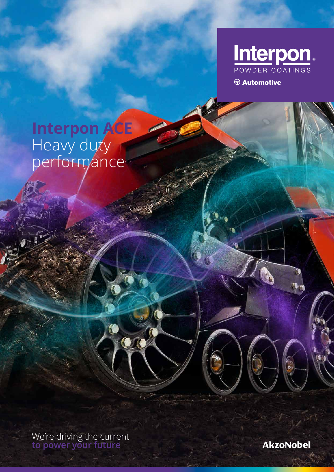

 $\circledR$  Automotive

# **Interpon ACE** Heavy duty performance

We're driving the current **to power your future**

 $\overline{\mathbf{O} \mathbf{O}}$ 

**AkzoNobel**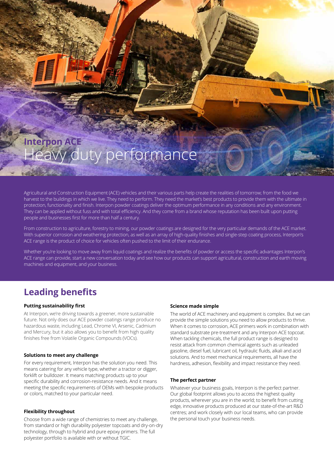## **Interpon ACE** Heavy duty performance

Agricultural and Construction Equipment (ACE) vehicles and their various parts help create the realities of tomorrow; from the food we harvest to the buildings in which we live. They need to perform. They need the market's best products to provide them with the ultimate in protection, functionality and finish. Interpon powder coatings deliver the optimum performance in any conditions and any environment. They can be applied without fuss and with total efficiency. And they come from a brand whose reputation has been built upon putting people and businesses first for more than half a century.

From construction to agriculture, forestry to mining, our powder coatings are designed for the very particular demands of the ACE market. With superior corrosion and weathering protection, as well as an array of high-quality finishes and single-step coating process, Interpon's ACE range is the product of choice for vehicles often pushed to the limit of their endurance.

Whether you're looking to move away from liquid coatings and realize the benefits of powder or access the specific advantages Interpon's ACE range can provide, start a new conversation today and see how our products can support agricultural, construction and earth moving machines and equipment, and your business.

## **Leading benefits**

#### **Putting sustainability first**

At Interpon, we're driving towards a greener, more sustainable future. Not only does our ACE powder coatings range produce no hazardous waste, including Lead, Chrome VI, Arsenic, Cadmium and Mercury, but it also allows you to benefit from high quality finishes free from Volatile Organic Compounds (VOCs).

#### **Solutions to meet any challenge**

For every requirement, Interpon has the solution you need. This means catering for any vehicle type, whether a tractor or digger, forklift or bulldozer. It means matching products up to your specific durability and corrosion-resistance needs. And it means meeting the specific requirements of OEMs with bespoke products or colors, matched to your particular need.

#### **Flexibility throughout**

Choose from a wide range of chemistries to meet any challenge, from standard or high durability polyester topcoats and dry-on-dry technology, through to hybrid and pure epoxy primers. The full polyester portfolio is available with or without TGIC.

#### **Science made simple**

The world of ACE machinery and equipment is complex. But we can provide the simple solutions you need to allow products to thrive. When it comes to corrosion, ACE primers work in combination with standard substrate pre-treatment and any Interpon ACE topcoat. When tackling chemicals, the full product range is designed to resist attack from common chemical agents such as unleaded gasoline, diesel fuel, lubricant oil, hydraulic fluids, alkali and acid solutions. And to meet mechanical requirements, all have the hardness, adhesion, flexibility and impact resistance they need.

#### **The perfect partner**

Whatever your business goals, Interpon is the perfect partner. Our global footprint allows you to access the highest quality products, wherever you are in the world; to benefit from cutting edge, innovative products produced at our state-of-the-art R&D centres; and work closely with our local teams, who can provide the personal touch your business needs.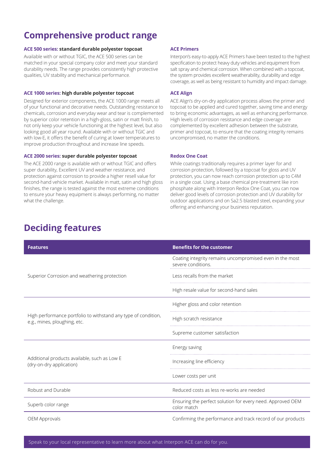## **Comprehensive product range**

#### **ACE 500 series: standard durable polyester topcoat**

Available with or without TGIC, the ACE 500 series can be matched in your special company color and meet your standard durability needs. The range provides consistently high protective qualities, UV stability and mechanical performance.

#### **ACE 1000 series: high durable polyester topcoat**

Designed for exterior components, the ACE 1000 range meets all of your functional and decorative needs. Outstanding resistance to chemicals, corrosion and everyday wear and tear is complemented by superior color retention in a high-gloss, satin or matt finish, to not only keep your vehicle functioning at the highest level, but also looking good all year round. Available with or without TGIC and with low-E, it offers the benefit of curing at lower temperatures to improve production throughout and increase line speeds.

#### **ACE 2000 series: super durable polyester topcoat**

The ACE 2000 range is available with or without TGIC and offers super durability, Excellent UV and weather resistance, and protection against corrosion to provide a higher resell value for second-hand vehicle market. Available in matt, satin and high gloss finishes, the range is tested against the most extreme conditions to ensure your heavy equipment is always performing, no matter what the challenge.

#### **ACE Primers**

Interpon's easy-to-apply ACE Primers have been tested to the highest specification to protect heavy duty vehicles and equipment from salt spray and chemical corrosion. When combined with a topcoat, the system provides excellent weatherability, durability and edge coverage, as well as being resistant to humidity and impact damage.

#### **ACE Align**

ACE Align's dry-on-dry application process allows the primer and topcoat to be applied and cured together, saving time and energy to bring economic advantages, as well as enhancing performance. High levels of corrosion resistance and edge coverage are complemented by excellent adhesion between the substrate, primer and topcoat, to ensure that the coating integrity remains uncompromised, no matter the conditions.

#### **Redox One Coat**

While coatings traditionally requires a primer layer for and corrosion protection, followed by a topcoat for gloss and UV protection, you can now reach corrosion protection up to C4M in a single coat. Using a base chemical pre-treatment like iron phosphate along with Interpon Redox One Coat, you can now deliver good levels of corrosion protection and UV durability for outdoor applications and on Sa2.5 blasted steel, expanding your offering and enhancing your business reputation.

### **Deciding features**

| <b>Features</b>                                                                                | <b>Benefits for the customer</b>                                               |
|------------------------------------------------------------------------------------------------|--------------------------------------------------------------------------------|
| Superior Corrosion and weathering protection                                                   | Coating integrity remains uncompromised even in the most<br>severe conditions. |
|                                                                                                | Less recalls from the market                                                   |
|                                                                                                | High resale value for second-hand sales                                        |
| High performance portfolio to withstand any type of condition,<br>e.g., mines, ploughing, etc. | Higher gloss and color retention                                               |
|                                                                                                | High scratch resistance                                                        |
|                                                                                                | Supreme customer satisfaction                                                  |
| Additional products available, such as Low E<br>(dry-on-dry application)                       | Energy saving                                                                  |
|                                                                                                | Increasing line efficiency                                                     |
|                                                                                                | Lower costs per unit                                                           |
| Robust and Durable                                                                             | Reduced costs as less re-works are needed                                      |
| Superb color range                                                                             | Ensuring the perfect solution for every need. Approved OEM<br>color match      |
| OEM Approvals                                                                                  | Confirming the performance and track record of our products                    |